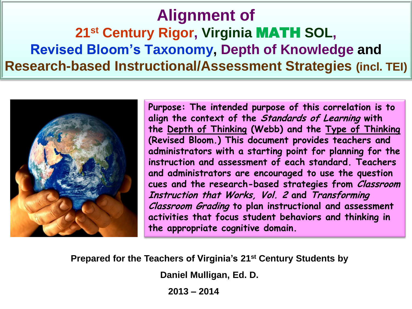# **Alignment of 21st Century Rigor, Virginia** MATH **SOL, Revised Bloom's Taxonomy, Depth of Knowledge and Research-based Instructional/Assessment Strategies (incl. TEI)**



**Purpose: The intended purpose of this correlation is to align the context of the Standards of Learning with the Depth of Thinking (Webb) and the Type of Thinking (Revised Bloom.) This document provides teachers and administrators with a starting point for planning for the instruction and assessment of each standard. Teachers and administrators are encouraged to use the question cues and the research-based strategies from Classroom Instruction that Works, Vol. 2 and Transforming Classroom Grading to plan instructional and assessment activities that focus student behaviors and thinking in the appropriate cognitive domain.**

**Prepared for the Teachers of Virginia's 21st Century Students by**

**Daniel Mulligan, Ed. D.** 

**2013 – 2014**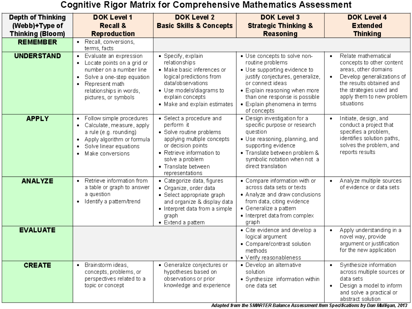### **Cognitive Rigor Matrix for Comprehensive Mathematics Assessment**

| <b>Depth of Thinking</b> | <b>DOK Level 1</b>                                                                                                                                                                                       | <b>DOK Level 2</b>                                                                                                                                                                                               | <b>DOK Level 3</b>                                                                                                                                                                                                                                        | <b>DOK Level 4</b>                                                                                                                                                                                                 |
|--------------------------|----------------------------------------------------------------------------------------------------------------------------------------------------------------------------------------------------------|------------------------------------------------------------------------------------------------------------------------------------------------------------------------------------------------------------------|-----------------------------------------------------------------------------------------------------------------------------------------------------------------------------------------------------------------------------------------------------------|--------------------------------------------------------------------------------------------------------------------------------------------------------------------------------------------------------------------|
| (Webb)+Type of           | <b>Recall &amp;</b>                                                                                                                                                                                      | <b>Basic Skills &amp; Concepts</b>                                                                                                                                                                               | <b>Strategic Thinking &amp;</b>                                                                                                                                                                                                                           | <b>Extended</b>                                                                                                                                                                                                    |
| <b>Thinking (Bloom)</b>  | <b>Reproduction</b>                                                                                                                                                                                      |                                                                                                                                                                                                                  | <b>Reasoning</b>                                                                                                                                                                                                                                          | <b>Thinking</b>                                                                                                                                                                                                    |
| <b>REMEMBER</b>          | Recall, conversions,<br>$\bullet$<br>terms, facts                                                                                                                                                        |                                                                                                                                                                                                                  |                                                                                                                                                                                                                                                           |                                                                                                                                                                                                                    |
| <b>UNDERSTAND</b>        | Evaluate an expression<br>$\bullet$<br>Locate points on a grid or<br>number on a number line<br>Solve a one-step equation<br>٠<br>Represent math<br>٠<br>relationships in words,<br>pictures, or symbols | • Specify, explain<br>relationships<br>• Make basic inferences or<br>logical predictions from<br>data/observations<br>· Use models/diagrams to<br>explain concepts<br>• Make and explain estimates               | · Use concepts to solve non-<br>routine problems<br>• Use supporting evidence to<br>justify conjectures, generalize,<br>or connect ideas<br>• Explain reasoning when more<br>than one response is possible<br>• Explain phenomena in terms<br>of concepts | Relate mathematical<br>٠<br>concepts to other content<br>areas, other domains<br>Develop generalizations of<br>٠<br>the results obtained and<br>the strategies used and<br>apply them to new problem<br>situations |
| <b>APPLY</b>             | Follow simple procedures<br>$\bullet$<br>Calculate, measure, apply<br>٠<br>a rule (e.g. rounding)<br>Apply algorithm or formula<br>٠<br>Solve linear equations<br>$\bullet$<br>Make conversions<br>٠     | • Select a procedure and<br>perform it<br>• Solve routine problems<br>applying multiple concepts<br>or decision points<br>• Retrieve information to<br>solve a problem<br>• Translate between<br>representations | · Design investigation for a<br>specific purpose or research<br>question<br>• Use reasoning, planning, and<br>supporting evidence<br>· Translate between problem &<br>symbolic notation when not a<br>direct translation                                  | Initiate, design, and<br>$\bullet$<br>conduct a project that<br>specifies a problem,<br>identifies solution paths,<br>solves the problem, and<br>reports results                                                   |
| <b>ANALYZE</b>           | Retrieve information from<br>$\bullet$<br>a table or graph to answer<br>a question<br>Identify a pattern/trend<br>٠                                                                                      | • Categorize data, figures<br>• Organize, order data<br>• Select appropriate graph<br>and organize & display data<br>• Interpret data from a simple<br>graph<br>• Extend a pattern                               | • Compare information with or<br>across data sets or texts<br>• Analyze and draw conclusions<br>from data, citing evidence<br>• Generalize a pattern<br>• Interpret data from complex<br>graph                                                            | Analyze multiple sources<br>٠<br>of evidence or data sets                                                                                                                                                          |
| <b>EVALUATE</b>          |                                                                                                                                                                                                          |                                                                                                                                                                                                                  | • Cite evidence and develop a<br>logical argument<br>• Compare/contrast solution<br>methods<br>• Verify reasonableness                                                                                                                                    | Apply understanding in a<br>٠<br>novel way, provide<br>argument or justification<br>for the new application                                                                                                        |
| <b>CREATE</b>            | Brainstorm ideas,<br>$\bullet$<br>concepts, problems, or<br>perspectives related to a<br>topic or concept                                                                                                | • Generalize conjectures or<br>hypotheses based on<br>observations or prior<br>knowledge and experience                                                                                                          | · Develop an alternative<br>solution<br>• Synthesize information within<br>one data set                                                                                                                                                                   | Synthesize information<br>٠<br>across multiple sources or<br>data sets<br>Design a model to inform<br>$\bullet$<br>and solve a practical or<br>abstract solution                                                   |

Adapted from the SMARTER Balance Assessment Item Specifications by Dan Mulligan, 2013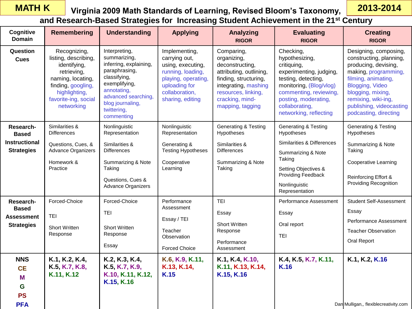### **MATH K**

### **Virginia 2009 Math Standards of Learning, Revised Bloom's Taxonomy,**

**2013-2014**

**and Research-Based Strategies for Increasing Student Achievement in the 21st Century**

| Cognitive<br><b>Domain</b>                                          | Remembering                                                                                                                                                           | <b>Understanding</b>                                                                                                                                                                             | <b>Applying</b>                                                                                                                                        | <b>Analyzing</b><br><b>RIGOR</b>                                                                                                                                                       | <b>Evaluating</b><br><b>RIGOR</b>                                                                                                                                                                                     | <b>Creating</b><br><b>RIGOR</b>                                                                                                                                                                                                             |
|---------------------------------------------------------------------|-----------------------------------------------------------------------------------------------------------------------------------------------------------------------|--------------------------------------------------------------------------------------------------------------------------------------------------------------------------------------------------|--------------------------------------------------------------------------------------------------------------------------------------------------------|----------------------------------------------------------------------------------------------------------------------------------------------------------------------------------------|-----------------------------------------------------------------------------------------------------------------------------------------------------------------------------------------------------------------------|---------------------------------------------------------------------------------------------------------------------------------------------------------------------------------------------------------------------------------------------|
| Question<br><b>Cues</b>                                             | Recognizing,<br>listing, describing,<br>identifying,<br>retrieving,<br>naming, locating,<br>finding, googling,<br>highlighting,<br>favorite-ing, social<br>networking | Interpreting,<br>summarizing,<br>inferring, explaining,<br>paraphrasing,<br>classifying,<br>exemplifying,<br>annotating,<br>advanced searching,<br>blog journaling,<br>twittering,<br>commenting | Implementing,<br>carrying out,<br>using, executing,<br>running, loading,<br>playing, operating,<br>uploading for<br>collaboration,<br>sharing, editing | Comparing,<br>organizing,<br>deconstructing,<br>attributing, outlining,<br>finding, structuring,<br>integrating, mashing<br>resources, linking,<br>cracking, mind-<br>mapping, tagging | Checking,<br>hypothesizing,<br>critiquing,<br>experimenting, judging,<br>testing, detecting,<br>monitoring, (Blog/vlog)<br>commenting, reviewing,<br>posting, moderating,<br>collaborating,<br>networking, reflecting | Designing, composing,<br>constructing, planning,<br>producing, devising,<br>making, programming,<br>filming, animating,<br>Blogging, Video<br>blogging, mixing,<br>remixing, wiki-ing,<br>publishing, videocasting<br>podcasting, directing |
| Research-<br><b>Based</b>                                           | Similarities &<br><b>Differences</b>                                                                                                                                  | Nonlinguistic<br>Representation                                                                                                                                                                  | Nonlinguistic<br>Representation                                                                                                                        | <b>Generating &amp; Testing</b><br>Hypotheses                                                                                                                                          | <b>Generating &amp; Testing</b><br>Hypotheses                                                                                                                                                                         | <b>Generating &amp; Testing</b><br>Hypotheses                                                                                                                                                                                               |
| <b>Instructional</b><br><b>Strategies</b>                           | Questions, Cues, &<br>Advance Organizers<br>Homework &<br>Practice                                                                                                    | Similarities &<br><b>Differences</b><br>Summarizing & Note<br>Taking<br>Questions, Cues &<br>Advance Organizers                                                                                  | Generating &<br><b>Testing Hypotheses</b><br>Cooperative<br>Learning                                                                                   | Similarities &<br><b>Differences</b><br>Summarizing & Note<br>Taking                                                                                                                   | Similarities & Differences<br>Summarizing & Note<br>Taking<br>Setting Objectives &<br>Providing Feedback<br>Nonlinguistic<br>Representation                                                                           | Summarizing & Note<br>Taking<br><b>Cooperative Learning</b><br>Reinforcing Effort &<br><b>Providing Recognition</b>                                                                                                                         |
| Research-<br><b>Based</b><br><b>Assessment</b><br><b>Strategies</b> | Forced-Choice<br>TEI<br><b>Short Written</b><br>Response                                                                                                              | Forced-Choice<br><b>TEI</b><br><b>Short Written</b><br>Response<br>Essay                                                                                                                         | Performance<br>Assessment<br>Essay / TEI<br>Teacher<br>Observation<br><b>Forced Choice</b>                                                             | <b>TEI</b><br>Essay<br>Short Written<br>Response<br>Performance<br>Assessment                                                                                                          | Performance Assessment<br>Essay<br>Oral report<br><b>TEI</b>                                                                                                                                                          | <b>Student Self-Assessment</b><br>Essay<br>Performance Assessment<br><b>Teacher Observation</b><br><b>Oral Report</b>                                                                                                                       |
| <b>NNS</b><br><b>CE</b><br>M<br>G<br><b>PS</b><br><b>PFA</b>        | K.1, K.2, K.4,<br>K.5, K.7, K.8,<br>K.11, K.12                                                                                                                        | K.2, K.3, K.4,<br>K.5, K.7, K.9,<br>K.10, K.11, K.12,<br>K.15, K.16                                                                                                                              | K.6, K.9, K.11,<br>K.13, K.14,<br>K.15                                                                                                                 | K.1, K.4, K.10,<br>K.11, K.13, K.14,<br>K.15, K.16                                                                                                                                     | K.4, K.5, K.7, K.11,<br>K.16                                                                                                                                                                                          | K.1, K.2, K.16<br>Dan Mulligan,, flexiblecreativity.com                                                                                                                                                                                     |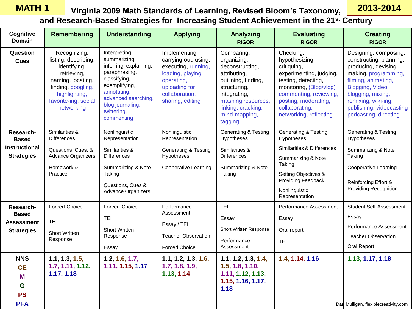### **Virginia 2009 Math Standards of Learning, Revised Bloom's Taxonomy, MATH 1 2013-2014 and Research-Based Strategies for Increasing Student Achievement in the 21st Century**

| Cognitive<br><b>Domain</b>                                   | <b>Remembering</b>                                                                                                                                                    | <b>Understanding</b>                                                                                                                                                                             | <b>Applying</b>                                                                                                                                        | Analyzing<br><b>RIGOR</b>                                                                                                                                                                   | <b>Evaluating</b><br><b>RIGOR</b>                                                                                                                                                                                     | <b>Creating</b><br><b>RIGOR</b>                                                                                                                                                                                                             |
|--------------------------------------------------------------|-----------------------------------------------------------------------------------------------------------------------------------------------------------------------|--------------------------------------------------------------------------------------------------------------------------------------------------------------------------------------------------|--------------------------------------------------------------------------------------------------------------------------------------------------------|---------------------------------------------------------------------------------------------------------------------------------------------------------------------------------------------|-----------------------------------------------------------------------------------------------------------------------------------------------------------------------------------------------------------------------|---------------------------------------------------------------------------------------------------------------------------------------------------------------------------------------------------------------------------------------------|
| Question<br><b>Cues</b>                                      | Recognizing,<br>listing, describing,<br>identifying,<br>retrieving,<br>naming, locating,<br>finding, googling,<br>highlighting,<br>favorite-ing, social<br>networking | Interpreting,<br>summarizing,<br>inferring, explaining,<br>paraphrasing,<br>classifying,<br>exemplifying,<br>annotating,<br>advanced searching,<br>blog journaling,<br>twittering,<br>commenting | Implementing,<br>carrying out, using,<br>executing, running,<br>loading, playing,<br>operating,<br>uploading for<br>collaboration,<br>sharing, editing | Comparing,<br>organizing,<br>deconstructing,<br>attributing,<br>outlining, finding,<br>structuring,<br>integrating,<br>mashing resources,<br>linking, cracking,<br>mind-mapping,<br>tagging | Checking,<br>hypothesizing,<br>critiquing,<br>experimenting, judging,<br>testing, detecting,<br>monitoring, (Blog/vlog)<br>commenting, reviewing,<br>posting, moderating,<br>collaborating,<br>networking, reflecting | Designing, composing,<br>constructing, planning,<br>producing, devising,<br>making, programming,<br>filming, animating,<br>Blogging, Video<br>blogging, mixing,<br>remixing, wiki-ing,<br>publishing, videocasting<br>podcasting, directing |
| Research-<br><b>Based</b>                                    | Similarities &<br><b>Differences</b>                                                                                                                                  | Nonlinguistic<br>Representation                                                                                                                                                                  | Nonlinguistic<br>Representation                                                                                                                        | <b>Generating &amp; Testing</b><br>Hypotheses                                                                                                                                               | <b>Generating &amp; Testing</b><br>Hypotheses                                                                                                                                                                         | <b>Generating &amp; Testing</b><br>Hypotheses                                                                                                                                                                                               |
| <b>Instructional</b><br><b>Strategies</b>                    | Questions, Cues, &<br><b>Advance Organizers</b><br>Homework &<br>Practice                                                                                             | Similarities &<br><b>Differences</b><br>Summarizing & Note<br>Taking<br>Questions, Cues &<br>Advance Organizers                                                                                  | <b>Generating &amp; Testing</b><br>Hypotheses<br><b>Cooperative Learning</b>                                                                           | Similarities &<br><b>Differences</b><br>Summarizing & Note<br>Taking                                                                                                                        | Similarities & Differences<br>Summarizing & Note<br>Taking<br>Setting Objectives &<br>Providing Feedback<br>Nonlinguistic<br>Representation                                                                           | Summarizing & Note<br>Taking<br><b>Cooperative Learning</b><br>Reinforcing Effort &<br><b>Providing Recognition</b>                                                                                                                         |
| Research-<br><b>Based</b><br>Assessment<br><b>Strategies</b> | Forced-Choice<br><b>TEI</b><br><b>Short Written</b><br>Response                                                                                                       | Forced-Choice<br><b>TEI</b><br>Short Written<br>Response<br>Essay                                                                                                                                | Performance<br>Assessment<br>Essay / TEI<br><b>Teacher Observation</b><br><b>Forced Choice</b>                                                         | <b>TEI</b><br>Essay<br><b>Short Written Response</b><br>Performance<br>Assessment                                                                                                           | Performance Assessment<br>Essay<br>Oral report<br><b>TEI</b>                                                                                                                                                          | <b>Student Self-Assessment</b><br>Essay<br>Performance Assessment<br><b>Teacher Observation</b><br>Oral Report                                                                                                                              |
| <b>NNS</b><br><b>CE</b><br>M<br>G<br><b>PS</b><br><b>PFA</b> | 1.1, 1.3, 1.5,<br>1.7, 1.11, 1.12,<br>1.17, 1.18                                                                                                                      | 1.2, 1.6, 1.7,<br>1.11, 1.15, 1.17                                                                                                                                                               | 1.1, 1.2, 1.3, 1.6,<br>1.7, 1.8, 1.9,<br>1.13, 1.14                                                                                                    | 1.1, 1.2, 1.3, 1.4,<br>1.5, 1.8, 1.10,<br>1.11, 1.12, 1.13,<br>1.15, 1.16, 1.17,<br>1.18                                                                                                    | 1.4, 1.14, 1.16                                                                                                                                                                                                       | 1.13, 1.17, 1.18<br>Dan Mulligan, flexiblecreativity.com                                                                                                                                                                                    |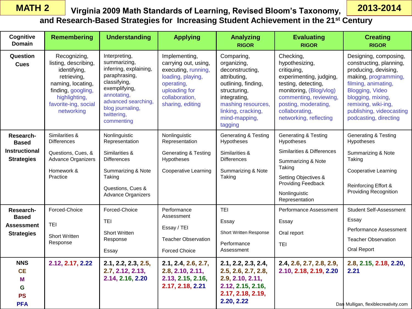**Assessment Strategies**

> **NNS CE M G PS PFA**

TEI

Short Written Response

Short Written Response

**2.7, 2.12, 2.13, 2.14, 2.16, 2.20**

Essay

**2.12, 2.17, 2.22 2.1, 2.2, 2.3, 2.5,** 

| <b>MATH 2</b>                                                          |                                                                                                  | Virginia 2009 Math Standards of Learning, Revised Bloom's Taxonomy,                                                                                                   |                                                                                                                                                                                                  |                                                                                                                                                        |                                                                                                                                                                                             |                                                                                                                                                                                                                       |                                                                                                                                                                                                                                             |  |  |
|------------------------------------------------------------------------|--------------------------------------------------------------------------------------------------|-----------------------------------------------------------------------------------------------------------------------------------------------------------------------|--------------------------------------------------------------------------------------------------------------------------------------------------------------------------------------------------|--------------------------------------------------------------------------------------------------------------------------------------------------------|---------------------------------------------------------------------------------------------------------------------------------------------------------------------------------------------|-----------------------------------------------------------------------------------------------------------------------------------------------------------------------------------------------------------------------|---------------------------------------------------------------------------------------------------------------------------------------------------------------------------------------------------------------------------------------------|--|--|
|                                                                        | and Research-Based Strategies for Increasing Student Achievement in the 21 <sup>st</sup> Century |                                                                                                                                                                       |                                                                                                                                                                                                  |                                                                                                                                                        |                                                                                                                                                                                             |                                                                                                                                                                                                                       |                                                                                                                                                                                                                                             |  |  |
| Cognitive<br>Domain                                                    |                                                                                                  | <b>Remembering</b>                                                                                                                                                    | <b>Understanding</b>                                                                                                                                                                             | <b>Applying</b>                                                                                                                                        | <b>Analyzing</b><br><b>RIGOR</b>                                                                                                                                                            | <b>Evaluating</b><br><b>RIGOR</b>                                                                                                                                                                                     | <b>Creating</b><br><b>RIGOR</b>                                                                                                                                                                                                             |  |  |
| Question<br><b>Cues</b>                                                |                                                                                                  | Recognizing,<br>listing, describing,<br>identifying,<br>retrieving,<br>naming, locating,<br>finding, googling,<br>highlighting,<br>favorite-ing, social<br>networking | Interpreting,<br>summarizing,<br>inferring, explaining,<br>paraphrasing,<br>classifying,<br>exemplifying,<br>annotating,<br>advanced searching,<br>blog journaling,<br>twittering,<br>commenting | Implementing,<br>carrying out, using,<br>executing, running,<br>loading, playing,<br>operating,<br>uploading for<br>collaboration,<br>sharing, editing | Comparing,<br>organizing,<br>deconstructing,<br>attributing,<br>outlining, finding,<br>structuring,<br>integrating,<br>mashing resources,<br>linking, cracking,<br>mind-mapping,<br>tagging | Checking,<br>hypothesizing,<br>critiquing,<br>experimenting, judging,<br>testing, detecting,<br>monitoring, (Blog/vlog)<br>commenting, reviewing,<br>posting, moderating,<br>collaborating,<br>networking, reflecting | Designing, composing,<br>constructing, planning,<br>producing, devising,<br>making, programming,<br>filming, animating,<br>Blogging, Video<br>blogging, mixing,<br>remixing, wiki-ing,<br>publishing, videocasting<br>podcasting, directing |  |  |
| Research-<br><b>Based</b><br><b>Instructional</b><br><b>Strategies</b> | Similarities &<br><b>Differences</b><br>Homework &<br>Practice                                   | Questions, Cues, &<br><b>Advance Organizers</b>                                                                                                                       | Nonlinguistic<br>Representation<br>Similarities &<br><b>Differences</b><br>Summarizing & Note<br>Taking<br>Questions, Cues &<br><b>Advance Organizers</b>                                        | Nonlinguistic<br>Representation<br><b>Generating &amp; Testing</b><br>Hypotheses<br><b>Cooperative Learning</b>                                        | <b>Generating &amp; Testing</b><br>Hypotheses<br>Similarities &<br><b>Differences</b><br>Summarizing & Note<br>Taking                                                                       | <b>Generating &amp; Testing</b><br>Hypotheses<br>Similarities & Differences<br>Summarizing & Note<br>Taking<br>Setting Objectives &<br><b>Providing Feedback</b><br>Nonlinguistic<br>Representation                   | <b>Generating &amp; Testing</b><br>Hypotheses<br>Summarizing & Note<br>Taking<br><b>Cooperative Learning</b><br>Reinforcing Effort &<br><b>Providing Recognition</b>                                                                        |  |  |
| Research-<br><b>Based</b>                                              | Forced-Choice                                                                                    |                                                                                                                                                                       | Forced-Choice<br><b>TEI</b>                                                                                                                                                                      | Performance<br>Assessment                                                                                                                              | <b>TEI</b><br>Essay                                                                                                                                                                         | Performance Assessment<br>Essay                                                                                                                                                                                       | <b>Student Self-Assessment</b><br>Essay                                                                                                                                                                                                     |  |  |

Essay / TEI

Forced Choice

Teacher Observation

**2.1, 2.4, 2.6, 2.7, 2.8, 2.10, 2.11, 2.13, 2.15, 2.16, 2.17, 2.18, 2.21**

Short Written Response

**2.1, 2.2, 2.3, 2.4, 2.5, 2.6, 2.7, 2.8, 2.9, 2.10, 2.11, 2.12, 2.15, 2.16, 2.17, 2.18, 2.19, 2.20, 2.22**

Oral report

**2.4, 2.6, 2.7, 2.8, 2.9, 2.10, 2.18, 2.19, 2.20**

TEI

Performance Assessment

Performance Assessment

**2.8, 2.15, 2.18, 2.20,** 

Teacher Observation

Oral Report

**2.21**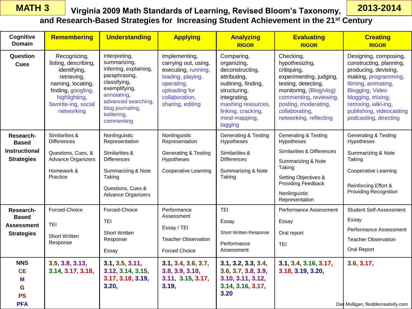### **Virginia 2009 Math Standards of Learning, Revised Bloom's Taxonomy, MATH 3 2013-2014 and Research-Based Strategies for Increasing Student Achievement in the 21st Century**

| Cognitive<br><b>Domain</b>                     | <b>Remembering</b>                                                                                                                                                    | Understanding                                                                                                                                                                                    | <b>Applying</b>                                                                                                                                        | <b>Analyzing</b><br><b>RIGOR</b>                                                                                                                                                            | <b>Evaluating</b><br><b>RIGOR</b>                                                                                                                                                                                     | <b>Creating</b><br><b>RIGOR</b>                                                                                                                                                                                                             |
|------------------------------------------------|-----------------------------------------------------------------------------------------------------------------------------------------------------------------------|--------------------------------------------------------------------------------------------------------------------------------------------------------------------------------------------------|--------------------------------------------------------------------------------------------------------------------------------------------------------|---------------------------------------------------------------------------------------------------------------------------------------------------------------------------------------------|-----------------------------------------------------------------------------------------------------------------------------------------------------------------------------------------------------------------------|---------------------------------------------------------------------------------------------------------------------------------------------------------------------------------------------------------------------------------------------|
| Question<br><b>Cues</b>                        | Recognizing,<br>listing, describing,<br>identifying,<br>retrieving,<br>naming, locating,<br>finding, googling,<br>highlighting,<br>favorite-ing, social<br>networking | Interpreting,<br>summarizing,<br>inferring, explaining,<br>paraphrasing,<br>classifying,<br>exemplifying,<br>annotating,<br>advanced searching,<br>blog journaling,<br>twittering,<br>commenting | Implementing,<br>carrying out, using,<br>executing, running,<br>loading, playing,<br>operating,<br>uploading for<br>collaboration,<br>sharing, editing | Comparing,<br>organizing,<br>deconstructing,<br>attributing,<br>outlining, finding,<br>structuring,<br>integrating,<br>mashing resources,<br>linking, cracking,<br>mind-mapping,<br>tagging | Checking,<br>hypothesizing,<br>critiquing,<br>experimenting, judging,<br>testing, detecting,<br>monitoring, (Blog/vlog)<br>commenting, reviewing,<br>posting, moderating,<br>collaborating,<br>networking, reflecting | Designing, composing,<br>constructing, planning,<br>producing, devising,<br>making, programming,<br>filming, animating,<br>Blogging, Video<br>blogging, mixing,<br>remixing, wiki-ing,<br>publishing, videocasting<br>podcasting, directing |
| Research-<br><b>Based</b>                      | Similarities &<br><b>Differences</b>                                                                                                                                  | Nonlinguistic<br>Representation                                                                                                                                                                  | Nonlinguistic<br>Representation                                                                                                                        | Generating & Testing<br>Hypotheses                                                                                                                                                          | <b>Generating &amp; Testing</b><br>Hypotheses                                                                                                                                                                         | <b>Generating &amp; Testing</b><br>Hypotheses                                                                                                                                                                                               |
| <b>Instructional</b><br><b>Strategies</b>      | Questions, Cues, &<br>Advance Organizers<br>Homework &<br>Practice                                                                                                    | Similarities &<br><b>Differences</b><br>Summarizing & Note<br>Taking<br>Questions, Cues &<br><b>Advance Organizers</b>                                                                           | <b>Generating &amp; Testing</b><br>Hypotheses<br><b>Cooperative Learning</b>                                                                           | Similarities &<br><b>Differences</b><br>Summarizing & Note<br>Taking                                                                                                                        | Similarities & Differences<br>Summarizing & Note<br>Taking<br>Setting Objectives &<br>Providing Feedback<br>Nonlinguistic<br>Representation                                                                           | Summarizing & Note<br>Taking<br><b>Cooperative Learning</b><br>Reinforcing Effort &<br><b>Providing Recognition</b>                                                                                                                         |
| Research-                                      | Forced-Choice                                                                                                                                                         | Forced-Choice                                                                                                                                                                                    | Performance<br>Assessment                                                                                                                              | <b>TEI</b>                                                                                                                                                                                  | Performance Assessment                                                                                                                                                                                                | <b>Student Self-Assessment</b>                                                                                                                                                                                                              |
| <b>Based</b><br><b>Assessment</b>              | <b>TEI</b>                                                                                                                                                            | <b>TEI</b>                                                                                                                                                                                       | Essay / TEI                                                                                                                                            | Essay                                                                                                                                                                                       | Essay                                                                                                                                                                                                                 | Essay                                                                                                                                                                                                                                       |
| <b>Strategies</b>                              | <b>Short Written</b><br>Response                                                                                                                                      | <b>Short Written</b><br>Response<br>Essay                                                                                                                                                        | <b>Teacher Observation</b><br><b>Forced Choice</b>                                                                                                     | Short Written Response<br>Performance<br>Assessment                                                                                                                                         | Oral report<br><b>TEI</b>                                                                                                                                                                                             | Performance Assessment<br><b>Teacher Observation</b><br>Oral Report                                                                                                                                                                         |
| <b>NNS</b><br><b>CE</b><br>M<br>G<br><b>PS</b> | 3.5, 3.8, 3.13,<br>3.14, 3.17, 3.18,                                                                                                                                  | 3.1, 3.5, 3.11,<br>3.12, 3.14, 3.15,<br>3.17, 3.18, 3.19,<br>3.20,                                                                                                                               | 3.1, 3.4, 3.6, 3.7,<br>3.8, 3.9, 3.10,<br>3.11, 3.15, 3.17,<br>3.19,                                                                                   | 3.1, 3.2, 3.3, 3.4,<br>3.6, 3.7, 3.8, 3.9,<br>3.10, 3.11, 3.12,<br>3.14, 3.16, 3.17,<br>3.20                                                                                                | 3.1, 3.4, 3.16, 3.17,<br>3.18, 3.19, 3.20,                                                                                                                                                                            | 3.6, 3.17,                                                                                                                                                                                                                                  |
| <b>PFA</b>                                     |                                                                                                                                                                       |                                                                                                                                                                                                  |                                                                                                                                                        |                                                                                                                                                                                             |                                                                                                                                                                                                                       | Dan Mulligan, flexiblecreativity.com                                                                                                                                                                                                        |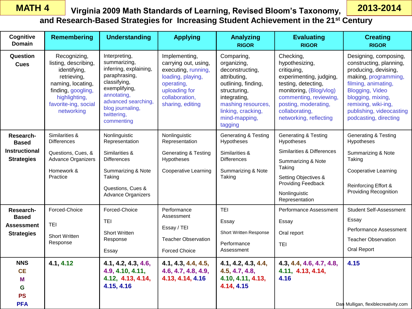**G PS PFA** **4.15, 4.16** 

## **Virginia 2009 Math Standards of Learning, Revised Bloom's Taxonomy, MATH 4 2013-2014**

|                                                                        |                                                                                                                                                                       |                                                                                                                                                                                                  |                                                                                                                                                        |                                                                                                                                                                                             | <u>VII YIIIII ZUUS MALII SLAHUATUS OLEEAHIIIIY, KEVISEU DIOOIII S-FAXOHOIIIY,</u>                                                                                                                                     |                                                                                                                                                                                                                                             |  |  |
|------------------------------------------------------------------------|-----------------------------------------------------------------------------------------------------------------------------------------------------------------------|--------------------------------------------------------------------------------------------------------------------------------------------------------------------------------------------------|--------------------------------------------------------------------------------------------------------------------------------------------------------|---------------------------------------------------------------------------------------------------------------------------------------------------------------------------------------------|-----------------------------------------------------------------------------------------------------------------------------------------------------------------------------------------------------------------------|---------------------------------------------------------------------------------------------------------------------------------------------------------------------------------------------------------------------------------------------|--|--|
|                                                                        | and Research-Based Strategies for Increasing Student Achievement in the 21 <sup>st</sup> Century                                                                      |                                                                                                                                                                                                  |                                                                                                                                                        |                                                                                                                                                                                             |                                                                                                                                                                                                                       |                                                                                                                                                                                                                                             |  |  |
| Cognitive<br><b>Domain</b>                                             | <b>Remembering</b>                                                                                                                                                    | <b>Understanding</b>                                                                                                                                                                             | <b>Applying</b>                                                                                                                                        | Analyzing<br><b>RIGOR</b>                                                                                                                                                                   | <b>Evaluating</b><br><b>RIGOR</b>                                                                                                                                                                                     | <b>Creating</b><br><b>RIGOR</b>                                                                                                                                                                                                             |  |  |
| Question<br><b>Cues</b>                                                | Recognizing,<br>listing, describing,<br>identifying,<br>retrieving,<br>naming, locating,<br>finding, googling,<br>highlighting,<br>favorite-ing, social<br>networking | Interpreting,<br>summarizing,<br>inferring, explaining,<br>paraphrasing,<br>classifying,<br>exemplifying,<br>annotating,<br>advanced searching,<br>blog journaling,<br>twittering,<br>commenting | Implementing,<br>carrying out, using,<br>executing, running,<br>loading, playing,<br>operating,<br>uploading for<br>collaboration,<br>sharing, editing | Comparing,<br>organizing,<br>deconstructing,<br>attributing,<br>outlining, finding,<br>structuring,<br>integrating,<br>mashing resources,<br>linking, cracking,<br>mind-mapping,<br>tagging | Checking,<br>hypothesizing,<br>critiquing,<br>experimenting, judging,<br>testing, detecting,<br>monitoring, (Blog/vlog)<br>commenting, reviewing,<br>posting, moderating,<br>collaborating,<br>networking, reflecting | Designing, composing,<br>constructing, planning,<br>producing, devising,<br>making, programming,<br>filming, animating,<br>Blogging, Video<br>blogging, mixing,<br>remixing, wiki-ing,<br>publishing, videocasting<br>podcasting, directing |  |  |
| Research-<br><b>Based</b><br><b>Instructional</b><br><b>Strategies</b> | Similarities &<br><b>Differences</b><br>Questions, Cues, &<br><b>Advance Organizers</b><br>Homework &<br>Practice                                                     | Nonlinguistic<br>Representation<br>Similarities &<br><b>Differences</b><br>Summarizing & Note<br>Taking<br>Questions, Cues &<br><b>Advance Organizers</b>                                        | Nonlinguistic<br>Representation<br><b>Generating &amp; Testing</b><br>Hypotheses<br><b>Cooperative Learning</b>                                        | <b>Generating &amp; Testing</b><br>Hypotheses<br>Similarities &<br><b>Differences</b><br>Summarizing & Note<br>Taking                                                                       | <b>Generating &amp; Testing</b><br>Hypotheses<br>Similarities & Differences<br>Summarizing & Note<br>Taking<br>Setting Objectives &<br>Providing Feedback<br>Nonlinguistic<br>Representation                          | <b>Generating &amp; Testing</b><br>Hypotheses<br>Summarizing & Note<br>Taking<br><b>Cooperative Learning</b><br>Reinforcing Effort &<br><b>Providing Recognition</b>                                                                        |  |  |
| Research-<br><b>Based</b><br>Assessment<br><b>Strategies</b>           | Forced-Choice<br>TEI<br><b>Short Written</b><br>Response                                                                                                              | Forced-Choice<br><b>TEI</b><br><b>Short Written</b><br>Response<br>Essay                                                                                                                         | Performance<br>Assessment<br>Essay / TEI<br><b>Teacher Observation</b><br><b>Forced Choice</b>                                                         | <b>TEI</b><br>Essay<br>Short Written Response<br>Performance<br>Assessment                                                                                                                  | Performance Assessment<br>Essay<br>Oral report<br><b>TEI</b>                                                                                                                                                          | <b>Student Self-Assessment</b><br>Essay<br>Performance Assessment<br><b>Teacher Observation</b><br>Oral Report                                                                                                                              |  |  |
| <b>NNS</b><br><b>CE</b><br>M                                           | 4.1, 4.12                                                                                                                                                             | 4.1, 4.2, 4.3, 4.6,<br>4.9, 4.10, 4.11,<br>4.12, 4.13, 4.14,                                                                                                                                     | 4.1, 4.3, 4.4, 4.5,<br>4.6, 4.7, 4.8, 4.9,<br>4.13, 4.14, 4.16                                                                                         | 4.1, 4.2, 4.3, 4.4,<br>4.5, 4.7, 4.8,<br>4.10, 4.11, 4.13,                                                                                                                                  | 4.3, 4.4, 4.6, 4.7, 4.8,<br>4.11, 4.13, 4.14,<br>4.16                                                                                                                                                                 | 4.15                                                                                                                                                                                                                                        |  |  |

**4.14, 4.15** 

Dan Mulligan, flexiblecreativity.com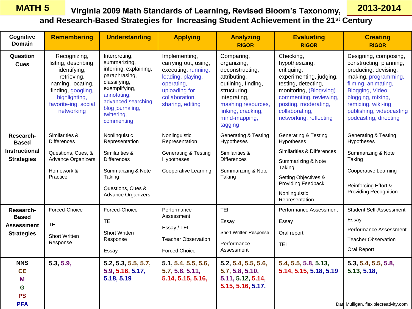## **Virginia 2009 Math Standards of Learning, Revised Bloom's Taxonomy, MATH 5 2013-2014**

**and Research-Based Strategies for Increasing Student Achievement in the 21st Century**

| Cognitive<br><b>Domain</b>                                          | <b>Remembering</b>                                                                                                                                                    | <b>Understanding</b>                                                                                                                                                                             | <b>Applying</b>                                                                                                                                        | <b>Analyzing</b><br><b>RIGOR</b>                                                                                                                                                            | <b>Evaluating</b><br><b>RIGOR</b>                                                                                                                                                                                     | <b>Creating</b><br><b>RIGOR</b>                                                                                                                                                                                                             |
|---------------------------------------------------------------------|-----------------------------------------------------------------------------------------------------------------------------------------------------------------------|--------------------------------------------------------------------------------------------------------------------------------------------------------------------------------------------------|--------------------------------------------------------------------------------------------------------------------------------------------------------|---------------------------------------------------------------------------------------------------------------------------------------------------------------------------------------------|-----------------------------------------------------------------------------------------------------------------------------------------------------------------------------------------------------------------------|---------------------------------------------------------------------------------------------------------------------------------------------------------------------------------------------------------------------------------------------|
| Question<br><b>Cues</b>                                             | Recognizing,<br>listing, describing,<br>identifying,<br>retrieving,<br>naming, locating,<br>finding, googling,<br>highlighting,<br>favorite-ing, social<br>networking | Interpreting,<br>summarizing,<br>inferring, explaining,<br>paraphrasing,<br>classifying,<br>exemplifying,<br>annotating,<br>advanced searching,<br>blog journaling,<br>twittering,<br>commenting | Implementing,<br>carrying out, using,<br>executing, running,<br>loading, playing,<br>operating,<br>uploading for<br>collaboration,<br>sharing, editing | Comparing,<br>organizing,<br>deconstructing,<br>attributing,<br>outlining, finding,<br>structuring,<br>integrating,<br>mashing resources,<br>linking, cracking,<br>mind-mapping,<br>tagging | Checking,<br>hypothesizing,<br>critiquing,<br>experimenting, judging,<br>testing, detecting,<br>monitoring, (Blog/vlog)<br>commenting, reviewing,<br>posting, moderating,<br>collaborating,<br>networking, reflecting | Designing, composing,<br>constructing, planning,<br>producing, devising,<br>making, programming,<br>filming, animating,<br>Blogging, Video<br>blogging, mixing,<br>remixing, wiki-ing,<br>publishing, videocasting<br>podcasting, directing |
| Research-<br><b>Based</b>                                           | Similarities &<br><b>Differences</b>                                                                                                                                  | Nonlinguistic<br>Representation                                                                                                                                                                  | Nonlinguistic<br>Representation                                                                                                                        | <b>Generating &amp; Testing</b><br>Hypotheses                                                                                                                                               | Generating & Testing<br>Hypotheses                                                                                                                                                                                    | <b>Generating &amp; Testing</b><br>Hypotheses                                                                                                                                                                                               |
| <b>Instructional</b><br><b>Strategies</b>                           | Questions, Cues, &<br>Advance Organizers<br>Homework &<br>Practice                                                                                                    | Similarities &<br><b>Differences</b><br>Summarizing & Note<br>Taking<br>Questions, Cues &<br><b>Advance Organizers</b>                                                                           | <b>Generating &amp; Testing</b><br>Hypotheses<br><b>Cooperative Learning</b>                                                                           | Similarities &<br><b>Differences</b><br>Summarizing & Note<br>Taking                                                                                                                        | Similarities & Differences<br>Summarizing & Note<br>Taking<br>Setting Objectives &<br>Providing Feedback<br>Nonlinguistic<br>Representation                                                                           | Summarizing & Note<br>Taking<br><b>Cooperative Learning</b><br>Reinforcing Effort &<br><b>Providing Recognition</b>                                                                                                                         |
| Research-<br><b>Based</b><br><b>Assessment</b><br><b>Strategies</b> | Forced-Choice<br><b>TEI</b><br><b>Short Written</b><br>Response                                                                                                       | Forced-Choice<br><b>TEI</b><br><b>Short Written</b><br>Response<br>Essay                                                                                                                         | Performance<br>Assessment<br>Essay / TEI<br><b>Teacher Observation</b><br><b>Forced Choice</b>                                                         | <b>TEI</b><br>Essay<br>Short Written Response<br>Performance<br>Assessment                                                                                                                  | Performance Assessment<br>Essay<br>Oral report<br><b>TEI</b>                                                                                                                                                          | <b>Student Self-Assessment</b><br>Essay<br>Performance Assessment<br><b>Teacher Observation</b><br>Oral Report                                                                                                                              |
| <b>NNS</b><br><b>CE</b><br>M<br>G<br><b>PS</b><br><b>PFA</b>        | 5.3, 5.9,                                                                                                                                                             | 5.2, 5.3, 5.5, 5.7,<br>5.9, 5.16, 5.17,<br>5.18, 5.19                                                                                                                                            | 5.1, 5.4, 5.5, 5.6,<br>5.7, 5.8, 5.11,<br>5.14, 5.15, 5.16,                                                                                            | 5.2, 5.4, 5.5, 5.6,<br>5.7, 5.8, 5.10,<br>5.11, 5.12, 5.14,<br>5.15, 5.16, 5.17,                                                                                                            | 5.4, 5.5, 5.8, 5.13,<br>5.14, 5.15, 5.18, 5.19                                                                                                                                                                        | 5.3, 5.4, 5.5, 5.8,<br>5.13, 5.18,<br>Dan Mulligan, flexiblecreativity.com                                                                                                                                                                  |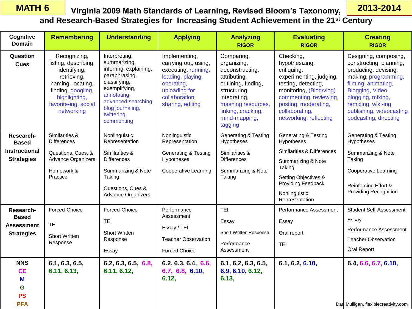**Cognitive Domain**

**Question Cues**

**Research-Based Instructional Strategies**

**Research-Based Assessment Strategies**

> **NNS CE M G PS PFA**

TEI

Short Written Response

**6.1, 6.3, 6.5, 6.11, 6.13,** 

Short Written Response

**6.11, 6.12,** 

**6.2, 6.3, 6.5, 6.8,** 

Essay

| <b>MATH 6</b>           |                                                                                                                                                                       |                                                                                                                                                                                                 |                                                                                                                                                        |                                                                                                                                                                                             | Virginia 2009 Math Standards of Learning, Revised Bloom's Taxonomy,                                                                                                                                                   | 2013-2014                                                                                                                                                                                                                                          |  |  |  |  |
|-------------------------|-----------------------------------------------------------------------------------------------------------------------------------------------------------------------|-------------------------------------------------------------------------------------------------------------------------------------------------------------------------------------------------|--------------------------------------------------------------------------------------------------------------------------------------------------------|---------------------------------------------------------------------------------------------------------------------------------------------------------------------------------------------|-----------------------------------------------------------------------------------------------------------------------------------------------------------------------------------------------------------------------|----------------------------------------------------------------------------------------------------------------------------------------------------------------------------------------------------------------------------------------------------|--|--|--|--|
|                         | and Research-Based Strategies for Increasing Student Achievement in the 21 <sup>st</sup> Century                                                                      |                                                                                                                                                                                                 |                                                                                                                                                        |                                                                                                                                                                                             |                                                                                                                                                                                                                       |                                                                                                                                                                                                                                                    |  |  |  |  |
| gnitive<br>omain        | <b>Remembering</b>                                                                                                                                                    | <b>Understanding</b>                                                                                                                                                                            | <b>Applying</b>                                                                                                                                        | <b>Analyzing</b><br><b>RIGOR</b>                                                                                                                                                            | <b>Evaluating</b><br><b>RIGOR</b>                                                                                                                                                                                     | <b>Creating</b><br><b>RIGOR</b>                                                                                                                                                                                                                    |  |  |  |  |
| ıestion<br>Cues         | Recognizing,<br>listing, describing,<br>identifying,<br>retrieving,<br>naming, locating,<br>finding, googling,<br>highlighting,<br>favorite-ing, social<br>networking | Interpreting,<br>summarizing,<br>inferring, explaining,<br>paraphrasing,<br>classifying,<br>exemplifying,<br>annotating,<br>advanced searching<br>blog journaling,<br>twittering,<br>commenting | Implementing,<br>carrying out, using,<br>executing, running,<br>loading, playing,<br>operating,<br>uploading for<br>collaboration,<br>sharing, editing | Comparing,<br>organizing,<br>deconstructing,<br>attributing,<br>outlining, finding,<br>structuring,<br>integrating,<br>mashing resources,<br>linking, cracking,<br>mind-mapping,<br>tagging | Checking,<br>hypothesizing,<br>critiquing,<br>experimenting, judging,<br>testing, detecting,<br>monitoring, (Blog/vlog)<br>commenting, reviewing,<br>posting, moderating,<br>collaborating,<br>networking, reflecting | Designing, composing,<br>constructing, planning,<br>producing, devising,<br>making, programming,<br>filming, animating,<br><b>Blogging, Video</b><br>blogging, mixing,<br>remixing, wiki-ing,<br>publishing, videocasting<br>podcasting, directing |  |  |  |  |
| search-<br><b>Based</b> | Similarities &<br><b>Differences</b>                                                                                                                                  | Nonlinguistic<br>Representation                                                                                                                                                                 | Nonlinguistic<br>Representation                                                                                                                        | <b>Generating &amp; Testing</b><br>Hypotheses                                                                                                                                               | <b>Generating &amp; Testing</b><br>Hypotheses                                                                                                                                                                         | <b>Generating &amp; Testing</b><br>Hypotheses                                                                                                                                                                                                      |  |  |  |  |
| ructional<br>ategies    | Questions, Cues, &<br><b>Advance Organizers</b><br>Homework &<br>Practice                                                                                             | Similarities &<br><b>Differences</b><br>Summarizing & Note<br>Taking<br>Questions, Cues &<br>Advance Organizers                                                                                 | Generating & Testing<br>Hypotheses<br><b>Cooperative Learning</b>                                                                                      | Similarities &<br><b>Differences</b><br>Summarizing & Note<br>Taking                                                                                                                        | Similarities & Differences<br>Summarizing & Note<br>Taking<br>Setting Objectives &<br>Providing Feedback<br>Nonlinguistic<br>Representation                                                                           | Summarizing & Note<br>Taking<br><b>Cooperative Learning</b><br><b>Reinforcing Effort &amp;</b><br><b>Providing Recognition</b>                                                                                                                     |  |  |  |  |
| search-<br><b>Based</b> | Forced-Choice<br>$- -$                                                                                                                                                | Forced-Choice<br><b>TEI</b>                                                                                                                                                                     | Performance<br>Assessment                                                                                                                              | <b>TEI</b><br>Essay                                                                                                                                                                         | Performance Assessment<br>Essay                                                                                                                                                                                       | <b>Student Self-Assessment</b><br>Essay                                                                                                                                                                                                            |  |  |  |  |

Short Written Response

**6.1, 6.2, 6.3, 6.5, 6.9, 6.10, 6.12,** 

Oral report

TEI

Performance Assessment

**6.13,** 

Essay / TEI

Forced Choice

**6.12,** 

Teacher Observation

**6.2, 6.3, 6.4, 6.6, 6.7, 6.8, 6.10,** 

Dan Mulligan, flexiblecreativity.com

Performance Assessment

Teacher Observation

Oral Report

**6.1, 6.2, 6.10, 6.4, 6.6, 6.7, 6.10,**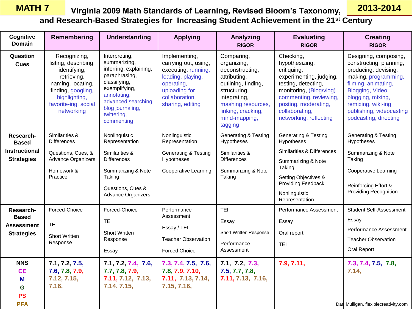### **Virginia 2009 Math Standards of Learning, Revised Bloom's Taxonomy, MATH 7 2013-2014 and Research-Based Strategies for Increasing Student Achievement in the 21st Century**

| Cognitive<br><b>Domain</b>                                             | Remembering                                                                                                                                                           | <b>Understanding</b>                                                                                                                                                                             | <b>Applying</b>                                                                                                                                        | Analyzing<br><b>RIGOR</b>                                                                                                                                                                   | <b>Evaluating</b><br><b>RIGOR</b>                                                                                                                                                                                     | <b>Creating</b><br><b>RIGOR</b>                                                                                                                                                                                                             |
|------------------------------------------------------------------------|-----------------------------------------------------------------------------------------------------------------------------------------------------------------------|--------------------------------------------------------------------------------------------------------------------------------------------------------------------------------------------------|--------------------------------------------------------------------------------------------------------------------------------------------------------|---------------------------------------------------------------------------------------------------------------------------------------------------------------------------------------------|-----------------------------------------------------------------------------------------------------------------------------------------------------------------------------------------------------------------------|---------------------------------------------------------------------------------------------------------------------------------------------------------------------------------------------------------------------------------------------|
| Question<br><b>Cues</b>                                                | Recognizing,<br>listing, describing,<br>identifying,<br>retrieving,<br>naming, locating,<br>finding, googling,<br>highlighting,<br>favorite-ing, social<br>networking | Interpreting,<br>summarizing,<br>inferring, explaining,<br>paraphrasing,<br>classifying,<br>exemplifying,<br>annotating,<br>advanced searching,<br>blog journaling,<br>twittering,<br>commenting | Implementing,<br>carrying out, using,<br>executing, running,<br>loading, playing,<br>operating,<br>uploading for<br>collaboration,<br>sharing, editing | Comparing,<br>organizing,<br>deconstructing,<br>attributing,<br>outlining, finding,<br>structuring,<br>integrating,<br>mashing resources,<br>linking, cracking,<br>mind-mapping,<br>tagging | Checking,<br>hypothesizing,<br>critiquing,<br>experimenting, judging,<br>testing, detecting,<br>monitoring, (Blog/vlog)<br>commenting, reviewing,<br>posting, moderating,<br>collaborating,<br>networking, reflecting | Designing, composing,<br>constructing, planning,<br>producing, devising,<br>making, programming,<br>filming, animating,<br>Blogging, Video<br>blogging, mixing,<br>remixing, wiki-ing,<br>publishing, videocasting<br>podcasting, directing |
| Research-<br><b>Based</b><br><b>Instructional</b><br><b>Strategies</b> | Similarities &<br><b>Differences</b><br>Questions, Cues, &<br><b>Advance Organizers</b><br>Homework &<br>Practice                                                     | Nonlinguistic<br>Representation<br>Similarities &<br><b>Differences</b><br>Summarizing & Note<br>Taking<br>Questions, Cues &<br>Advance Organizers                                               | Nonlinguistic<br>Representation<br><b>Generating &amp; Testing</b><br>Hypotheses<br><b>Cooperative Learning</b>                                        | <b>Generating &amp; Testing</b><br>Hypotheses<br>Similarities &<br><b>Differences</b><br>Summarizing & Note<br>Taking                                                                       | <b>Generating &amp; Testing</b><br>Hypotheses<br>Similarities & Differences<br>Summarizing & Note<br>Taking<br>Setting Objectives &<br>Providing Feedback<br>Nonlinguistic<br>Representation                          | <b>Generating &amp; Testing</b><br>Hypotheses<br>Summarizing & Note<br>Taking<br>Cooperative Learning<br>Reinforcing Effort &<br><b>Providing Recognition</b>                                                                               |
| Research-<br><b>Based</b><br><b>Assessment</b><br><b>Strategies</b>    | Forced-Choice<br>TEI<br><b>Short Written</b><br>Response                                                                                                              | Forced-Choice<br><b>TEI</b><br><b>Short Written</b><br>Response<br>Essay                                                                                                                         | Performance<br>Assessment<br>Essay / TEI<br><b>Teacher Observation</b><br><b>Forced Choice</b>                                                         | <b>TEI</b><br>Essay<br>Short Written Response<br>Performance<br>Assessment                                                                                                                  | Performance Assessment<br>Essay<br>Oral report<br><b>TEI</b>                                                                                                                                                          | <b>Student Self-Assessment</b><br>Essay<br>Performance Assessment<br><b>Teacher Observation</b><br>Oral Report                                                                                                                              |
| <b>NNS</b><br><b>CE</b><br>M<br>G<br><b>PS</b><br><b>PFA</b>           | 7.1, 7.2, 7.5,<br>7.6, 7.8, 7.9,<br>7.12, 7.15,<br>7.16,                                                                                                              | 7.1, 7.2, 7.4, 7.6,<br>7.7, 7.8, 7.9,<br>7.11, 7.12, 7.13,<br>7.14, 7.15,                                                                                                                        | 7.3, 7.4, 7.5, 7.6,<br>7.8, 7.9, 7.10,<br>7.11, 7.13, 7.14,<br>7.15, 7.16,                                                                             | 7.1, 7.2, 7.3,<br>7.5, 7.7, 7.8,<br>7.11, 7.13, 7.16,                                                                                                                                       | 7.9, 7.11,                                                                                                                                                                                                            | 7.3, 7.4, 7.5, 7.8,<br>7.14,<br>Dan Mulligan, flexiblecreativity.com                                                                                                                                                                        |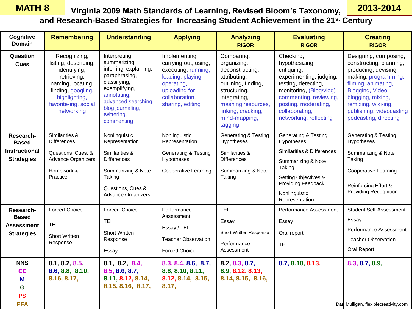### **Virginia 2009 Math Standards of Learning, Revised Bloom's Taxonomy, MATH 8 2013-2014 and Research-Based Strategies for Increasing Student Achievement in the 21st Century**

| Cognitive<br><b>Domain</b>                                             | <b>Remembering</b>                                                                                                                                                    | <b>Understanding</b>                                                                                                                                                                             | <b>Applying</b>                                                                                                                                        | <b>Analyzing</b><br><b>RIGOR</b>                                                                                                                                                            | <b>Evaluating</b><br><b>RIGOR</b>                                                                                                                                                                                     | <b>Creating</b><br><b>RIGOR</b>                                                                                                                                                                                                                    |
|------------------------------------------------------------------------|-----------------------------------------------------------------------------------------------------------------------------------------------------------------------|--------------------------------------------------------------------------------------------------------------------------------------------------------------------------------------------------|--------------------------------------------------------------------------------------------------------------------------------------------------------|---------------------------------------------------------------------------------------------------------------------------------------------------------------------------------------------|-----------------------------------------------------------------------------------------------------------------------------------------------------------------------------------------------------------------------|----------------------------------------------------------------------------------------------------------------------------------------------------------------------------------------------------------------------------------------------------|
| Question<br><b>Cues</b>                                                | Recognizing,<br>listing, describing,<br>identifying,<br>retrieving,<br>naming, locating,<br>finding, googling,<br>highlighting,<br>favorite-ing, social<br>networking | Interpreting,<br>summarizing,<br>inferring, explaining,<br>paraphrasing,<br>classifying,<br>exemplifying,<br>annotating,<br>advanced searching,<br>blog journaling,<br>twittering,<br>commenting | Implementing,<br>carrying out, using,<br>executing, running,<br>loading, playing,<br>operating,<br>uploading for<br>collaboration,<br>sharing, editing | Comparing,<br>organizing,<br>deconstructing,<br>attributing,<br>outlining, finding,<br>structuring,<br>integrating,<br>mashing resources,<br>linking, cracking,<br>mind-mapping,<br>tagging | Checking,<br>hypothesizing,<br>critiquing,<br>experimenting, judging,<br>testing, detecting,<br>monitoring, (Blog/vlog)<br>commenting, reviewing,<br>posting, moderating,<br>collaborating,<br>networking, reflecting | Designing, composing,<br>constructing, planning,<br>producing, devising,<br>making, programming,<br>filming, animating,<br><b>Blogging, Video</b><br>blogging, mixing,<br>remixing, wiki-ing,<br>publishing, videocasting<br>podcasting, directing |
| Research-<br><b>Based</b><br><b>Instructional</b><br><b>Strategies</b> | Similarities &<br><b>Differences</b><br>Questions, Cues, &<br>Advance Organizers<br>Homework &<br>Practice                                                            | Nonlinguistic<br>Representation<br>Similarities &<br><b>Differences</b><br>Summarizing & Note<br>Taking<br>Questions, Cues &<br>Advance Organizers                                               | Nonlinguistic<br>Representation<br><b>Generating &amp; Testing</b><br>Hypotheses<br><b>Cooperative Learning</b>                                        | <b>Generating &amp; Testing</b><br>Hypotheses<br>Similarities &<br><b>Differences</b><br>Summarizing & Note<br>Taking                                                                       | <b>Generating &amp; Testing</b><br>Hypotheses<br>Similarities & Differences<br>Summarizing & Note<br>Taking<br>Setting Objectives &<br>Providing Feedback<br>Nonlinguistic<br>Representation                          | <b>Generating &amp; Testing</b><br>Hypotheses<br>Summarizing & Note<br>Taking<br><b>Cooperative Learning</b><br>Reinforcing Effort &<br><b>Providing Recognition</b>                                                                               |
| Research-<br><b>Based</b><br><b>Assessment</b><br><b>Strategies</b>    | Forced-Choice<br>TEI<br><b>Short Written</b><br>Response                                                                                                              | Forced-Choice<br><b>TEI</b><br><b>Short Written</b><br>Response<br>Essay                                                                                                                         | Performance<br>Assessment<br>Essay / TEI<br><b>Teacher Observation</b><br><b>Forced Choice</b>                                                         | <b>TEI</b><br>Essay<br>Short Written Response<br>Performance<br>Assessment                                                                                                                  | Performance Assessment<br>Essay<br>Oral report<br><b>TEI</b>                                                                                                                                                          | Student Self-Assessment<br>Essay<br>Performance Assessment<br><b>Teacher Observation</b><br>Oral Report                                                                                                                                            |
| <b>NNS</b><br><b>CE</b><br>М<br>G<br><b>PS</b><br><b>PFA</b>           | 8.1, 8.2, 8.5<br>8.6, 8.8, 8.10,<br>8.16, 8.17,                                                                                                                       | 8.1, 8.2, 8.4,<br>8.5, 8.6, 8.7,<br>8.11, 8.12, 8.14,<br>8.15, 8.16, 8.17,                                                                                                                       | 8.3, 8.4, 8.6, 8.7,<br>8.8, 8.10, 8.11,<br>8.12, 8.14, 8.15,<br>8.17,                                                                                  | 8.2, 8.3, 8.7,<br>8.9, 8.12, 8.13,<br>8.14, 8.15, 8.16,                                                                                                                                     | 8.7, 8.10, 8.13,                                                                                                                                                                                                      | 8.3, 8.7, 8.9,<br>Dan Mulligan, flexiblecreativity.com                                                                                                                                                                                             |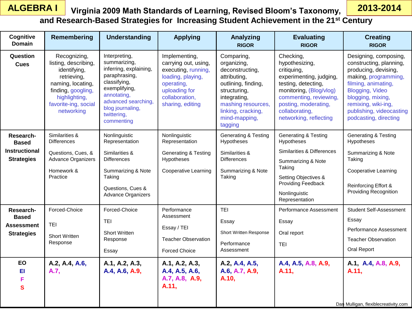### **Virginia 2009 Math Standards of Learning, Revised Bloom's Taxonomy, ALGEBRA I 2013-2014 and Research-Based Strategies for Increasing Student Achievement in the 21st Century**

| Cognitive<br>Domain                                                    | Remembering                                                                                                                                                           | <b>Understanding</b>                                                                                                                                                                             | <b>Applying</b>                                                                                                                                        | <b>Analyzing</b><br><b>RIGOR</b>                                                                                                                                                            | <b>Evaluating</b><br><b>RIGOR</b>                                                                                                                                                                                     | <b>Creating</b><br><b>RIGOR</b>                                                                                                                                                                                                                    |
|------------------------------------------------------------------------|-----------------------------------------------------------------------------------------------------------------------------------------------------------------------|--------------------------------------------------------------------------------------------------------------------------------------------------------------------------------------------------|--------------------------------------------------------------------------------------------------------------------------------------------------------|---------------------------------------------------------------------------------------------------------------------------------------------------------------------------------------------|-----------------------------------------------------------------------------------------------------------------------------------------------------------------------------------------------------------------------|----------------------------------------------------------------------------------------------------------------------------------------------------------------------------------------------------------------------------------------------------|
| Question<br><b>Cues</b>                                                | Recognizing,<br>listing, describing,<br>identifying,<br>retrieving,<br>naming, locating,<br>finding, googling,<br>highlighting,<br>favorite-ing, social<br>networking | Interpreting,<br>summarizing,<br>inferring, explaining,<br>paraphrasing,<br>classifying,<br>exemplifying,<br>annotating,<br>advanced searching,<br>blog journaling,<br>twittering,<br>commenting | Implementing,<br>carrying out, using,<br>executing, running,<br>loading, playing,<br>operating,<br>uploading for<br>collaboration,<br>sharing, editing | Comparing,<br>organizing,<br>deconstructing,<br>attributing,<br>outlining, finding,<br>structuring,<br>integrating,<br>mashing resources,<br>linking, cracking,<br>mind-mapping,<br>tagging | Checking,<br>hypothesizing,<br>critiquing,<br>experimenting, judging,<br>testing, detecting,<br>monitoring, (Blog/vlog)<br>commenting, reviewing,<br>posting, moderating,<br>collaborating,<br>networking, reflecting | Designing, composing,<br>constructing, planning,<br>producing, devising,<br>making, programming,<br>filming, animating,<br><b>Blogging, Video</b><br>blogging, mixing,<br>remixing, wiki-ing,<br>publishing, videocasting<br>podcasting, directing |
| Research-<br><b>Based</b><br><b>Instructional</b><br><b>Strategies</b> | Similarities &<br><b>Differences</b><br>Questions, Cues, &<br><b>Advance Organizers</b><br>Homework &<br>Practice                                                     | Nonlinguistic<br>Representation<br>Similarities &<br><b>Differences</b><br>Summarizing & Note<br>Taking<br>Questions, Cues &<br>Advance Organizers                                               | Nonlinguistic<br>Representation<br><b>Generating &amp; Testing</b><br>Hypotheses<br><b>Cooperative Learning</b>                                        | <b>Generating &amp; Testing</b><br>Hypotheses<br>Similarities &<br><b>Differences</b><br>Summarizing & Note<br>Taking                                                                       | <b>Generating &amp; Testing</b><br>Hypotheses<br>Similarities & Differences<br>Summarizing & Note<br>Taking<br>Setting Objectives &<br>Providing Feedback<br>Nonlinguistic<br>Representation                          | <b>Generating &amp; Testing</b><br>Hypotheses<br>Summarizing & Note<br>Taking<br><b>Cooperative Learning</b><br>Reinforcing Effort &<br><b>Providing Recognition</b>                                                                               |
| Research-<br><b>Based</b><br>Assessment<br><b>Strategies</b>           | Forced-Choice<br><b>TEI</b><br><b>Short Written</b><br>Response                                                                                                       | Forced-Choice<br><b>TEI</b><br>Short Written<br>Response<br>Essay                                                                                                                                | Performance<br>Assessment<br>Essay / TEI<br><b>Teacher Observation</b><br><b>Forced Choice</b>                                                         | <b>TEI</b><br>Essay<br><b>Short Written Response</b><br>Performance<br>Assessment                                                                                                           | Performance Assessment<br>Essay<br>Oral report<br><b>TEI</b>                                                                                                                                                          | <b>Student Self-Assessment</b><br>Essay<br>Performance Assessment<br><b>Teacher Observation</b><br>Oral Report                                                                                                                                     |
| EO<br>EI<br>F<br>$\mathbf{s}$                                          | A.2, A.4, A.6,<br>A.7,                                                                                                                                                | A.1, A.2, A.3,<br>A.4, A.6, A.9,                                                                                                                                                                 | A.1, A.2, A.3,<br>A.4, A.5, A.6,<br>A.7, A.8, A.9,<br>A.11,                                                                                            | A.2, A.4, A.5,<br>A.6, A.7, A.9,<br>A.10,                                                                                                                                                   | A.4, A.5, A.8, A.9,<br>A.11,                                                                                                                                                                                          | A.1, A.4, A.8, A.9,<br>A.11,<br>Dan Mulligan, flexiblecreativity.com                                                                                                                                                                               |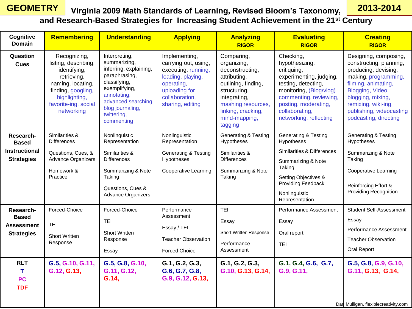### **Virginia 2009 Math Standards of Learning, Revised Bloom's Taxonomy, GEOMETRY 2013-2014 and Research-Based Strategies for Increasing Student Achievement in the 21st Century**

| Cognitive<br><b>Domain</b>                                          | <b>Remembering</b>                                                                                                                                                    | <b>Understanding</b>                                                                                                                                                                             | <b>Applying</b>                                                                                                                                        | <b>Analyzing</b><br><b>RIGOR</b>                                                                                                                                                            | <b>Evaluating</b><br><b>RIGOR</b>                                                                                                                                                                                     | <b>Creating</b><br><b>RIGOR</b>                                                                                                                                                                                                             |
|---------------------------------------------------------------------|-----------------------------------------------------------------------------------------------------------------------------------------------------------------------|--------------------------------------------------------------------------------------------------------------------------------------------------------------------------------------------------|--------------------------------------------------------------------------------------------------------------------------------------------------------|---------------------------------------------------------------------------------------------------------------------------------------------------------------------------------------------|-----------------------------------------------------------------------------------------------------------------------------------------------------------------------------------------------------------------------|---------------------------------------------------------------------------------------------------------------------------------------------------------------------------------------------------------------------------------------------|
| Question<br><b>Cues</b>                                             | Recognizing,<br>listing, describing,<br>identifying,<br>retrieving,<br>naming, locating,<br>finding, googling,<br>highlighting,<br>favorite-ing, social<br>networking | Interpreting,<br>summarizing,<br>inferring, explaining,<br>paraphrasing,<br>classifying,<br>exemplifying,<br>annotating,<br>advanced searching,<br>blog journaling,<br>twittering,<br>commenting | Implementing,<br>carrying out, using,<br>executing, running,<br>loading, playing,<br>operating,<br>uploading for<br>collaboration,<br>sharing, editing | Comparing,<br>organizing,<br>deconstructing,<br>attributing,<br>outlining, finding,<br>structuring,<br>integrating,<br>mashing resources,<br>linking, cracking,<br>mind-mapping,<br>tagging | Checking,<br>hypothesizing,<br>critiquing,<br>experimenting, judging,<br>testing, detecting,<br>monitoring, (Blog/vlog)<br>commenting, reviewing,<br>posting, moderating,<br>collaborating,<br>networking, reflecting | Designing, composing,<br>constructing, planning,<br>producing, devising,<br>making, programming,<br>filming, animating,<br>Blogging, Video<br>blogging, mixing,<br>remixing, wiki-ing,<br>publishing, videocasting<br>podcasting, directing |
| Research-<br><b>Based</b><br><b>Instructional</b>                   | Similarities &<br><b>Differences</b><br>Questions, Cues, &                                                                                                            | Nonlinguistic<br>Representation<br>Similarities &                                                                                                                                                | Nonlinguistic<br>Representation<br><b>Generating &amp; Testing</b>                                                                                     | <b>Generating &amp; Testing</b><br>Hypotheses<br>Similarities &                                                                                                                             | <b>Generating &amp; Testing</b><br>Hypotheses<br>Similarities & Differences                                                                                                                                           | <b>Generating &amp; Testing</b><br>Hypotheses<br>Summarizing & Note                                                                                                                                                                         |
| <b>Strategies</b>                                                   | Advance Organizers<br>Homework &<br>Practice                                                                                                                          | <b>Differences</b><br>Summarizing & Note<br>Taking<br>Questions, Cues &<br><b>Advance Organizers</b>                                                                                             | Hypotheses<br><b>Cooperative Learning</b>                                                                                                              | <b>Differences</b><br>Summarizing & Note<br>Taking                                                                                                                                          | Summarizing & Note<br>Taking<br>Setting Objectives &<br>Providing Feedback<br>Nonlinguistic<br>Representation                                                                                                         | Taking<br><b>Cooperative Learning</b><br>Reinforcing Effort &<br><b>Providing Recognition</b>                                                                                                                                               |
| Research-<br><b>Based</b><br><b>Assessment</b><br><b>Strategies</b> | Forced-Choice<br><b>TEI</b><br><b>Short Written</b><br>Response                                                                                                       | Forced-Choice<br><b>TEI</b><br><b>Short Written</b><br>Response<br>Essay                                                                                                                         | Performance<br>Assessment<br>Essay / TEI<br><b>Teacher Observation</b><br><b>Forced Choice</b>                                                         | <b>TEI</b><br>Essay<br>Short Written Response<br>Performance<br>Assessment                                                                                                                  | Performance Assessment<br>Essay<br>Oral report<br><b>TEI</b>                                                                                                                                                          | <b>Student Self-Assessment</b><br>Essay<br>Performance Assessment<br><b>Teacher Observation</b><br>Oral Report                                                                                                                              |
| <b>RLT</b><br>T.<br><b>PC</b><br><b>TDF</b>                         | G.5, G.10, G.11,<br>G.12, G.13,                                                                                                                                       | G.5, G.8, G.10,<br>G.11, G.12,<br>G.14,                                                                                                                                                          | G.1, G.2, G.3,<br>G.6, G.7, G.8,<br>G.9, G.12, G.13,                                                                                                   | G.1, G.2, G.3,<br>G.10, G.13, G.14,                                                                                                                                                         | G.1, G.4, G.6, G.7,<br>G.9, G.11,                                                                                                                                                                                     | G.5, G.8, G.9, G.10,<br>G.11, G.13, G.14,<br>Dan Mulligan, flexiblecreativity.com                                                                                                                                                           |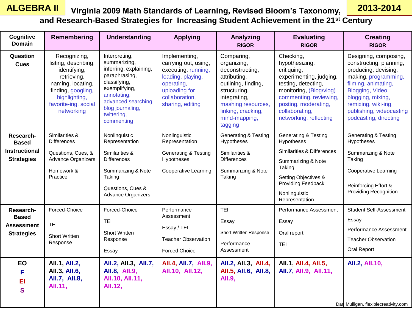### **Virginia 2009 Math Standards of Learning, Revised Bloom's Taxonomy, ALGEBRA II 2013-2014 and Research-Based Strategies for Increasing Student Achievement in the 21st Century**

| Cognitive<br><b>Domain</b>                                             | Remembering                                                                                                                                                           | <b>Understanding</b>                                                                                                                                                                             | <b>Applying</b>                                                                                                                                        | Analyzing<br><b>RIGOR</b>                                                                                                                                                                   | <b>Evaluating</b><br><b>RIGOR</b>                                                                                                                                                                                     | <b>Creating</b><br><b>RIGOR</b>                                                                                                                                                                                                             |
|------------------------------------------------------------------------|-----------------------------------------------------------------------------------------------------------------------------------------------------------------------|--------------------------------------------------------------------------------------------------------------------------------------------------------------------------------------------------|--------------------------------------------------------------------------------------------------------------------------------------------------------|---------------------------------------------------------------------------------------------------------------------------------------------------------------------------------------------|-----------------------------------------------------------------------------------------------------------------------------------------------------------------------------------------------------------------------|---------------------------------------------------------------------------------------------------------------------------------------------------------------------------------------------------------------------------------------------|
| Question<br><b>Cues</b>                                                | Recognizing,<br>listing, describing,<br>identifying,<br>retrieving,<br>naming, locating,<br>finding, googling,<br>highlighting,<br>favorite-ing, social<br>networking | Interpreting,<br>summarizing,<br>inferring, explaining,<br>paraphrasing,<br>classifying,<br>exemplifying,<br>annotating,<br>advanced searching,<br>blog journaling,<br>twittering,<br>commenting | Implementing,<br>carrying out, using,<br>executing, running,<br>loading, playing,<br>operating,<br>uploading for<br>collaboration,<br>sharing, editing | Comparing,<br>organizing,<br>deconstructing,<br>attributing,<br>outlining, finding,<br>structuring,<br>integrating,<br>mashing resources,<br>linking, cracking,<br>mind-mapping,<br>tagging | Checking,<br>hypothesizing,<br>critiquing,<br>experimenting, judging,<br>testing, detecting,<br>monitoring, (Blog/vlog)<br>commenting, reviewing,<br>posting, moderating,<br>collaborating,<br>networking, reflecting | Designing, composing,<br>constructing, planning,<br>producing, devising,<br>making, programming,<br>filming, animating,<br>Blogging, Video<br>blogging, mixing,<br>remixing, wiki-ing,<br>publishing, videocasting<br>podcasting, directing |
| Research-<br><b>Based</b><br><b>Instructional</b><br><b>Strategies</b> | Similarities &<br><b>Differences</b><br>Questions, Cues, &<br>Advance Organizers<br>Homework &<br>Practice                                                            | Nonlinguistic<br>Representation<br>Similarities &<br><b>Differences</b><br>Summarizing & Note<br>Taking<br>Questions, Cues &<br><b>Advance Organizers</b>                                        | Nonlinguistic<br>Representation<br><b>Generating &amp; Testing</b><br>Hypotheses<br><b>Cooperative Learning</b>                                        | <b>Generating &amp; Testing</b><br>Hypotheses<br>Similarities &<br><b>Differences</b><br>Summarizing & Note<br>Taking                                                                       | <b>Generating &amp; Testing</b><br>Hypotheses<br>Similarities & Differences<br>Summarizing & Note<br>Taking<br>Setting Objectives &<br><b>Providing Feedback</b><br>Nonlinguistic<br>Representation                   | <b>Generating &amp; Testing</b><br>Hypotheses<br>Summarizing & Note<br>Taking<br><b>Cooperative Learning</b><br>Reinforcing Effort &<br><b>Providing Recognition</b>                                                                        |
| Research-<br><b>Based</b><br><b>Assessment</b><br><b>Strategies</b>    | Forced-Choice<br><b>TEI</b><br><b>Short Written</b><br>Response                                                                                                       | Forced-Choice<br><b>TEI</b><br><b>Short Written</b><br>Response<br>Essay                                                                                                                         | Performance<br>Assessment<br>Essay / TEI<br><b>Teacher Observation</b><br><b>Forced Choice</b>                                                         | <b>TEI</b><br>Essay<br>Short Written Response<br>Performance<br>Assessment                                                                                                                  | Performance Assessment<br>Essay<br>Oral report<br>TEI                                                                                                                                                                 | <b>Student Self-Assessment</b><br>Essay<br>Performance Assessment<br><b>Teacher Observation</b><br>Oral Report                                                                                                                              |
| EO<br>F<br>EI<br>S                                                     | All.1, All.2,<br>All.3, All.6,<br>AII.7, AII.8,<br>All.11,                                                                                                            | AII.2, AII.3, AII.7,<br>All.8, All.9,<br>All.10, All.11,<br>All.12,                                                                                                                              | All.4, All.7, All.9,<br>All.10, All.12,                                                                                                                | All.2, All.3, All.4,<br>All.5, All.6, All.8,<br>AII.9,                                                                                                                                      | All.1, All.4, All.5,<br>AII.7, AII.9, AII.11,                                                                                                                                                                         | AII.2, AII.10,<br>Dan Mulligan, flexiblecreativity.com                                                                                                                                                                                      |